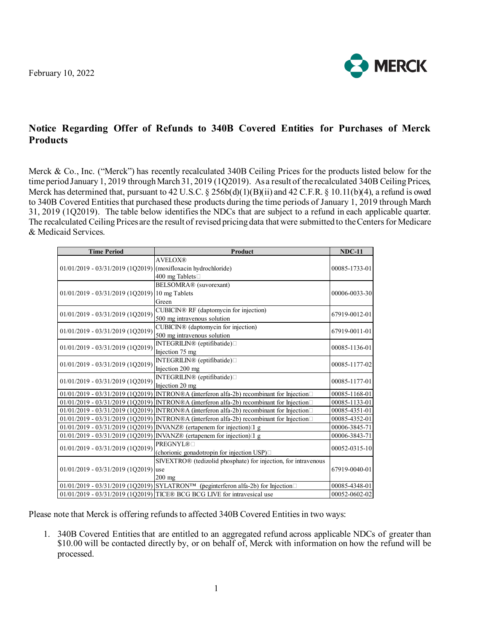

## **Notice Regarding Offer of Refunds to 340B Covered Entities for Purchases of Merck Products**

Merck & Co., Inc. ("Merck") has recently recalculated 340B Ceiling Prices for the products listed below for the time period January 1, 2019 through March 31, 2019 (1Q2019). As a result of the recalculated 340B Ceiling Prices, Merck has determined that, pursuant to 42 U.S.C. § 256b(d)(1)(B)(ii) and 42 C.F.R. § 10.11(b)(4), a refund is owed to 340B Covered Entities that purchased these products during the time periods of January 1, 2019 through March 31, 2019 (1Q2019). The table below identifies the NDCs that are subject to a refund in each applicable quarter. The recalculated Ceiling Prices are the result of revised pricing data that were submitted to the Centers for Medicare & Medicaid Services.

| <b>Time Period</b>                                              | Product                                                                          | <b>NDC-11</b> |
|-----------------------------------------------------------------|----------------------------------------------------------------------------------|---------------|
| $01/01/2019 - 03/31/2019$ (1Q2019) (moxifloxacin hydrochloride) | <b>AVELOX®</b>                                                                   |               |
|                                                                 |                                                                                  | 00085-1733-01 |
|                                                                 | 400 mg Tablets□                                                                  |               |
| 01/01/2019 - 03/31/2019 (1Q2019) 10 mg Tablets                  | BELSOMRA® (suvorexant)                                                           | 00006-0033-30 |
|                                                                 |                                                                                  |               |
|                                                                 | Green                                                                            |               |
| 01/01/2019 - 03/31/2019 (1Q2019)                                | CUBICIN® RF (daptomycin for injection)                                           | 67919-0012-01 |
|                                                                 | 500 mg intravenous solution                                                      |               |
| 01/01/2019 - 03/31/2019 (1Q2019)                                | CUBICIN® (daptomycin for injection)                                              | 67919-0011-01 |
|                                                                 | 500 mg intravenous solution                                                      |               |
| 01/01/2019 - 03/31/2019 (1Q2019)                                | INTEGRILIN® (eptifibatide)□                                                      | 00085-1136-01 |
|                                                                 | Injection 75 mg                                                                  |               |
| 01/01/2019 - 03/31/2019 (1Q2019)                                | INTEGRILIN® (eptifibatide)□                                                      | 00085-1177-02 |
|                                                                 | Injection 200 mg                                                                 |               |
| 01/01/2019 - 03/31/2019 (1Q2019)                                | INTEGRILIN® (eptifibatide)□                                                      | 00085-1177-01 |
|                                                                 | Injection 20 mg                                                                  |               |
| 01/01/2019 - 03/31/2019 (1Q2019)                                | <b>INTRON®A</b> (interferon alfa-2b) recombinant for Injection□                  | 00085-1168-01 |
| 01/01/2019 - 03/31/2019 (1Q2019)                                | INTRON®A (interferon alfa-2b) recombinant for Injection□                         | 00085-1133-01 |
| 01/01/2019 - 03/31/2019 (1Q2019)                                | INTRON®A (interferon alfa-2b) recombinant for Injection□                         | 00085-4351-01 |
| $01/01/2019 - 03/31/2019$ (1Q2019)                              | <b>INTRON®A</b> (interferon alfa-2b) recombinant for Injection□                  | 00085-4352-01 |
| 01/01/2019 - 03/31/2019 (1Q2019)                                | INVANZ® (ertapenem for injection) <sup>1</sup> g                                 | 00006-3845-71 |
| 01/01/2019 - 03/31/2019 (1Q2019)                                | $INVANZ®$ (ertapenem for injection) $\Box$ g                                     | 00006-3843-71 |
| 01/01/2019 - 03/31/2019 (1Q2019)                                | <b>PREGNYL®</b>                                                                  | 00052-0315-10 |
|                                                                 | (chorionic gonadotropin for injection USP) $\Box$                                |               |
| $01/01/2019 - 03/31/2019$ (1Q2019) use                          | SIVEXTRO® (tedizolid phosphate) for injection, for intravenous                   |               |
|                                                                 |                                                                                  | 67919-0040-01 |
|                                                                 | $200$ mg                                                                         |               |
|                                                                 | 01/01/2019 - 03/31/2019 (1Q2019) SYLATRON™ (peginterferon alfa-2b) for Injection | 00085-4348-01 |
|                                                                 | 01/01/2019 - 03/31/2019 (1Q2019) TICE® BCG BCG LIVE for intravesical use         | 00052-0602-02 |

Please note that Merck is offering refunds to affected 340B Covered Entities in two ways:

1. 340B Covered Entities that are entitled to an aggregated refund across applicable NDCs of greater than \$10.00 will be contacted directly by, or on behalf of, Merck with information on how the refund will be processed.